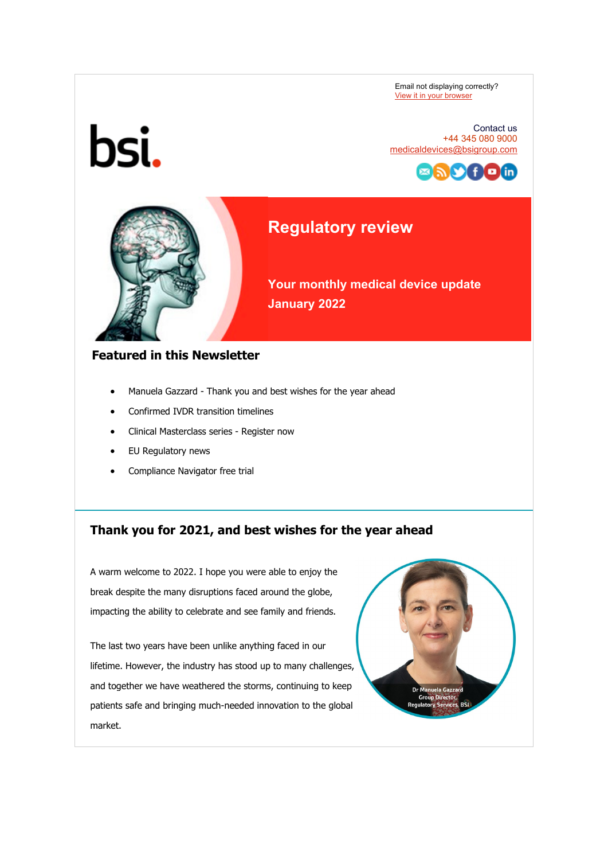Email not displaying correctly? [View it in your browser](https://eur03.safelinks.protection.outlook.com/?url=https%3A%2F%2Fhelp.salesforce.com%2FarticleView%3Fid%3Dpardot_view_online_link.htm&data=04%7C01%7CBen.Smith%40bsigroup.com%7C265c26112e334dc3c80708d9d5e854b2%7C54946ffc68d34955ac70dca726d445b4%7C0%7C0%7C637776016142594654%7CUnknown%7CTWFpbGZsb3d8eyJWIjoiMC4wLjAwMDAiLCJQIjoiV2luMzIiLCJBTiI6Ik1haWwiLCJXVCI6Mn0%3D%7C3000&sdata=zPbuId8Ry725%2BVXweXl6OLjT%2Ffkq%2BY9nYwIB1xJEXqw%3D&reserved=0) 



Contact us +44 345 080 9000 [medicaldevices@bsigroup.com](mailto:medicaldevices@bsigroup.com)



# **Regulatory review**

**Your monthly medical device update January 2022**

### **Featured in this Newsletter**

- Manuela Gazzard Thank you and best wishes for the year ahead
- Confirmed IVDR transition timelines
- Clinical Masterclass series Register now
- EU Regulatory news
- Compliance Navigator free trial

## **Thank you for 2021, and best wishes for the year ahead**

A warm welcome to 2022. I hope you were able to enjoy the break despite the many disruptions faced around the globe, impacting the ability to celebrate and see family and friends.

The last two years have been unlike anything faced in our lifetime. However, the industry has stood up to many challenges, and together we have weathered the storms, continuing to keep patients safe and bringing much-needed innovation to the global market.

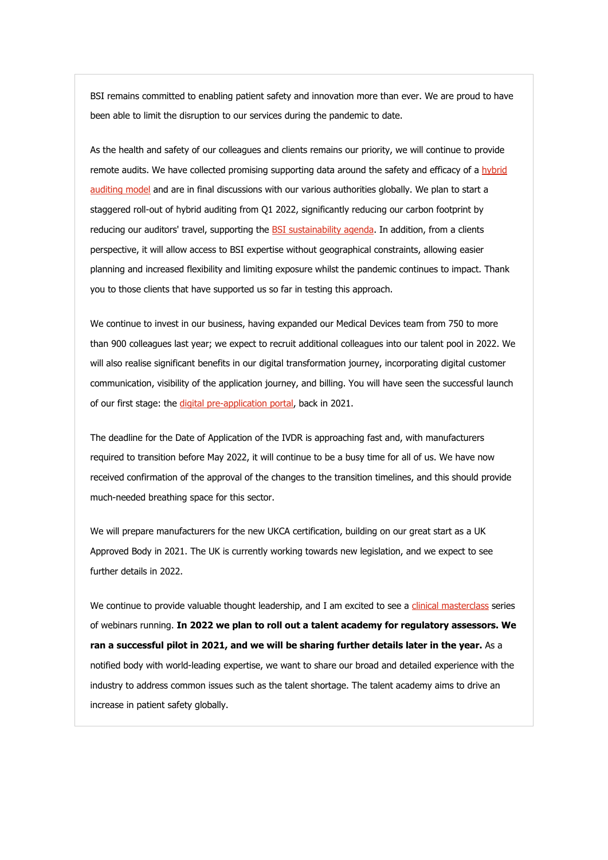BSI remains committed to enabling patient safety and innovation more than ever. We are proud to have been able to limit the disruption to our services during the pandemic to date.

As the health and safety of our colleagues and clients remains our priority, we will continue to provide remote audits. We have collected promising supporting data around the safety and efficacy of a hybrid [auditing model](https://eur03.safelinks.protection.outlook.com/?url=https%3A%2F%2Fwww.bsigroup.com%2Fen-GB%2Fmedical-devices%2Four-services%2Fhybrid-audits-for-medical-devices%2F%3Futm_source%3Dpardot%26utm_medium%3Demail%26utm_term%3D%26utm_content%3Dhybrid-auditing-model-link%26utm_campaign%3DGL-RegSrv-NEWS-MD-success-of-2021-and%2520the-year-ahead-2201&data=04%7C01%7CBen.Smith%40bsigroup.com%7C265c26112e334dc3c80708d9d5e854b2%7C54946ffc68d34955ac70dca726d445b4%7C0%7C0%7C637776016142750835%7CUnknown%7CTWFpbGZsb3d8eyJWIjoiMC4wLjAwMDAiLCJQIjoiV2luMzIiLCJBTiI6Ik1haWwiLCJXVCI6Mn0%3D%7C3000&sdata=sjEAgDVD8jkBXYfCd8qwa%2F700xEU9ExfJRh7l4cr8Zc%3D&reserved=0) and are in final discussions with our various authorities globally. We plan to start a staggered roll-out of hybrid auditing from Q1 2022, significantly reducing our carbon footprint by reducing our auditors' travel, supporting the **BSI sustainability agenda**. In addition, from a clients perspective, it will allow access to BSI expertise without geographical constraints, allowing easier planning and increased flexibility and limiting exposure whilst the pandemic continues to impact. Thank you to those clients that have supported us so far in testing this approach.

We continue to invest in our business, having expanded our Medical Devices team from 750 to more than 900 colleagues last year; we expect to recruit additional colleagues into our talent pool in 2022. We will also realise significant benefits in our digital transformation journey, incorporating digital customer communication, visibility of the application journey, and billing. You will have seen the successful launch of our first stage: the [digital pre-application portal,](https://eur03.safelinks.protection.outlook.com/?url=https%3A%2F%2Fwww.bsigroup.com%2Fen-GB%2Fmedical-devices%2Four-services%2Fmedical-devices-mdr-ivdr-pre-applications%2Fvideos%2F%3Futm_source%3Dpardot%26utm_medium%3Demail%26utm_term%3D%26utm_content%3Ddigital-pre-application-portal-link%26utm_campaign%3DGL-RegSrv-NEWS-MD-success-of-2021-and%2520the-year-ahead-2201&data=04%7C01%7CBen.Smith%40bsigroup.com%7C265c26112e334dc3c80708d9d5e854b2%7C54946ffc68d34955ac70dca726d445b4%7C0%7C0%7C637776016142750835%7CUnknown%7CTWFpbGZsb3d8eyJWIjoiMC4wLjAwMDAiLCJQIjoiV2luMzIiLCJBTiI6Ik1haWwiLCJXVCI6Mn0%3D%7C3000&sdata=MrW5%2FDVIxeDCsy8jcm5404betGGQ%2FQctroFBeyzBGF4%3D&reserved=0) back in 2021.

The deadline for the Date of Application of the IVDR is approaching fast and, with manufacturers required to transition before May 2022, it will continue to be a busy time for all of us. We have now received confirmation of the approval of the changes to the transition timelines, and this should provide much-needed breathing space for this sector.

We will prepare manufacturers for the new UKCA certification, building on our great start as a UK Approved Body in 2021. The UK is currently working towards new legislation, and we expect to see further details in 2022.

We continue to provide valuable thought leadership, and I am excited to see a [clinical masterclass](https://eur03.safelinks.protection.outlook.com/?url=https%3A%2F%2Fwww.bsigroup.com%2Fen-GB%2Fmedical-devices%2Fresources%2Fwebinars%2F2022%2Fmdr%2Fclinical-masterclass%2F%3Futm_source%3Dpardot%26utm_medium%3Demail%26utm_term%3D%26utm_content%3Dclinical-masterclass-link%26utm_campaign%3DGL-RegSrv-NEWS-MD-success-of-2021-and%2520the-year-ahead-2201&data=04%7C01%7CBen.Smith%40bsigroup.com%7C265c26112e334dc3c80708d9d5e854b2%7C54946ffc68d34955ac70dca726d445b4%7C0%7C0%7C637776016142750835%7CUnknown%7CTWFpbGZsb3d8eyJWIjoiMC4wLjAwMDAiLCJQIjoiV2luMzIiLCJBTiI6Ik1haWwiLCJXVCI6Mn0%3D%7C3000&sdata=Ka0X3%2Bl5D8whZWtsMzSxL0qhn%2FT89ASZmp0h3T7d2S8%3D&reserved=0) series of webinars running. **In 2022 we plan to roll out a talent academy for regulatory assessors. We ran a successful pilot in 2021, and we will be sharing further details later in the year.** As a notified body with world-leading expertise, we want to share our broad and detailed experience with the industry to address common issues such as the talent shortage. The talent academy aims to drive an increase in patient safety globally.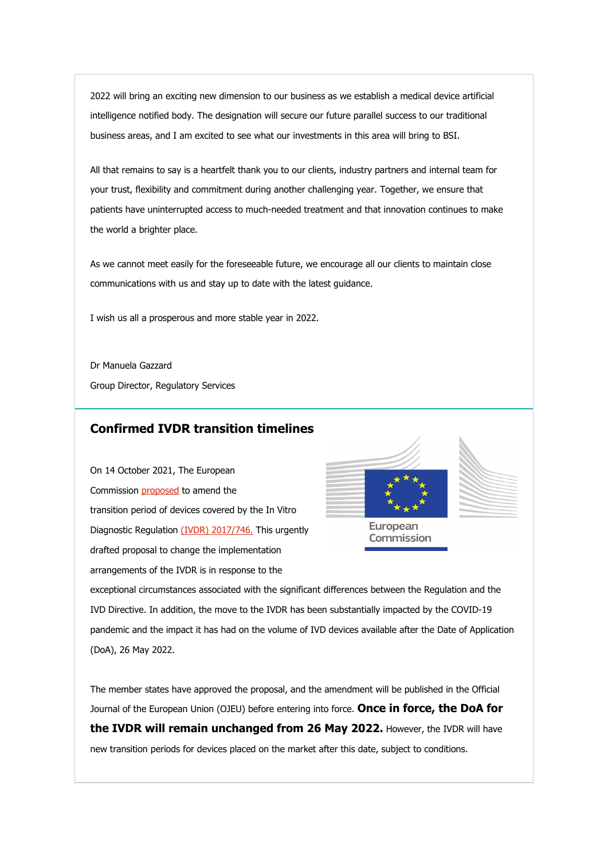2022 will bring an exciting new dimension to our business as we establish a medical device artificial intelligence notified body. The designation will secure our future parallel success to our traditional business areas, and I am excited to see what our investments in this area will bring to BSI.

All that remains to say is a heartfelt thank you to our clients, industry partners and internal team for your trust, flexibility and commitment during another challenging year. Together, we ensure that patients have uninterrupted access to much-needed treatment and that innovation continues to make the world a brighter place.

As we cannot meet easily for the foreseeable future, we encourage all our clients to maintain close communications with us and stay up to date with the latest guidance.

I wish us all a prosperous and more stable year in 2022.

Dr Manuela Gazzard Group Director, Regulatory Services

#### **Confirmed IVDR transition timelines**

On 14 October 2021, The European Commission [proposed](https://eur03.safelinks.protection.outlook.com/?url=https%3A%2F%2Fec.europa.eu%2Fhealth%2Fsites%2Fdefault%2Ffiles%2Fmd_newregulations%2Fdocs%2Fmd_2017-746-regulation_2021-amendment_en.pdf%3Futm_source%3Dpardot%26utm_medium%3Demail%26utm_term%3D%26utm_content%3DCommission-proposed-to-amend-the-transition-link%26utm_campaign%3DGL-RegSrv-NEWS-MD-success-of-2021-and%2520the-year-ahead-2201&data=04%7C01%7CBen.Smith%40bsigroup.com%7C265c26112e334dc3c80708d9d5e854b2%7C54946ffc68d34955ac70dca726d445b4%7C0%7C0%7C637776016142750835%7CUnknown%7CTWFpbGZsb3d8eyJWIjoiMC4wLjAwMDAiLCJQIjoiV2luMzIiLCJBTiI6Ik1haWwiLCJXVCI6Mn0%3D%7C3000&sdata=vDhTf4cwpXGwC8O8K17BBKM%2F79YfpgF7FAGLvgC%2B2Io%3D&reserved=0) to amend the transition period of devices covered by the In Vitro Diagnostic Regulation [\(IVDR\) 2017/746.](https://eur03.safelinks.protection.outlook.com/?url=https%3A%2F%2Feur-lex.europa.eu%2Fsearch.html%3Fscope%3DEURLEX%26text%3D%2528IVDR%2529%2B746%26lang%3Den%26type%3Dquick%26qid%3D1641477485525%3Futm_source%3Dpardot%26utm_medium%3Demail%26utm_term%3D%26utm_content%3D(IVDR)-2017%2F746-link%26utm_campaign%3DGL-RegSrv-NEWS-MD-success-of-2021-and%2520the-year-ahead-2201&data=04%7C01%7CBen.Smith%40bsigroup.com%7C265c26112e334dc3c80708d9d5e854b2%7C54946ffc68d34955ac70dca726d445b4%7C0%7C0%7C637776016142750835%7CUnknown%7CTWFpbGZsb3d8eyJWIjoiMC4wLjAwMDAiLCJQIjoiV2luMzIiLCJBTiI6Ik1haWwiLCJXVCI6Mn0%3D%7C3000&sdata=3DpIwPkWjMkJcyIvi8q9LohlmS4Yb6OUpvPH0V7NgQU%3D&reserved=0) This urgently drafted proposal to change the implementation arrangements of the IVDR is in response to the





European Commission

exceptional circumstances associated with the significant differences between the Regulation and the IVD Directive. In addition, the move to the IVDR has been substantially impacted by the COVID-19 pandemic and the impact it has had on the volume of IVD devices available after the Date of Application (DoA), 26 May 2022.

The member states have approved the proposal, and the amendment will be published in the Official Journal of the European Union (OJEU) before entering into force. **Once in force, the DoA for the IVDR will remain unchanged from 26 May 2022.** However, the IVDR will have new transition periods for devices placed on the market after this date, subject to conditions.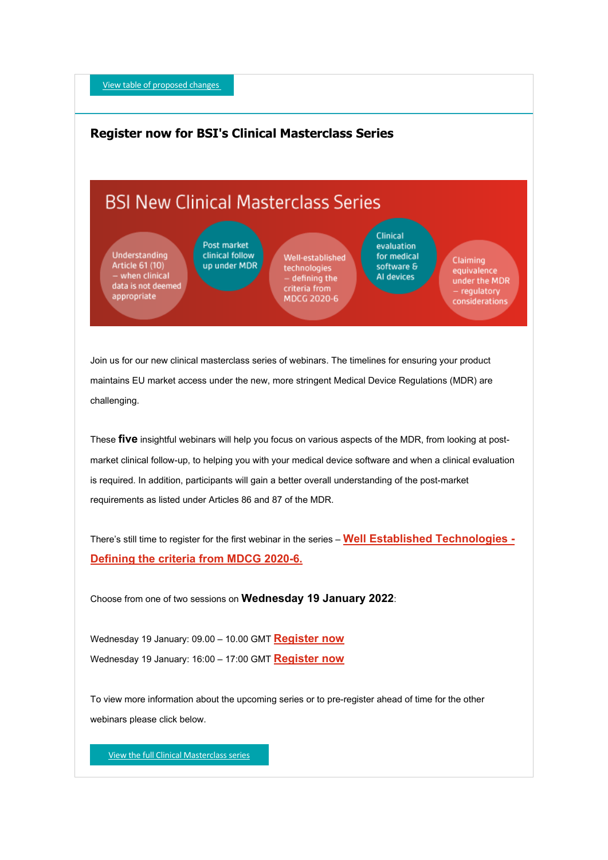[View table of proposed changes](https://eur03.safelinks.protection.outlook.com/?url=https%3A%2F%2Fwww.bsigroup.com%2Fen-GB%2Fmedical-devices%2Fnews-centre%2Fenews%2F2021-news%2Feuropean-commission-proposal-for-ivdr-transition-timelines%2F%3Futm_source%3Dpardot%26utm_medium%3Demail%26utm_term%3D%26utm_content%3Dcta%26utm_campaign%3DGL-RegSrv-NEWS-MD-success-of-2021-and%2520the-year-ahead-2201&data=04%7C01%7CBen.Smith%40bsigroup.com%7C265c26112e334dc3c80708d9d5e854b2%7C54946ffc68d34955ac70dca726d445b4%7C0%7C0%7C637776016142750835%7CUnknown%7CTWFpbGZsb3d8eyJWIjoiMC4wLjAwMDAiLCJQIjoiV2luMzIiLCJBTiI6Ik1haWwiLCJXVCI6Mn0%3D%7C3000&sdata=1s5qIKKl4FUXIs90Xb%2B2S0RpD9meD07La0BD2U%2BvRKI%3D&reserved=0)

### **Register now for BSI's Clinical Masterclass Series**

# **BSI New Clinical Masterclass Series**

Understanding Article 61 (10) when clinical data is not deemed appropriate

Post market clinical follow up under MDR

Well-established technologies - defining the criteria from MDCG 2020-6

Clinical evaluation for medical software & Al devices

Claiming equivalence under the MDR regulatory considerations

Join us for our new clinical masterclass series of webinars. The timelines for ensuring your product maintains EU market access under the new, more stringent Medical Device Regulations (MDR) are challenging.

These **five** insightful webinars will help you focus on various aspects of the MDR, from looking at postmarket clinical follow-up, to helping you with your medical device software and when a clinical evaluation is required. In addition, participants will gain a better overall understanding of the post-market requirements as listed under Articles 86 and 87 of the MDR.

There's still time to register for the first webinar in the series – **[Well Established Technologies -](https://eur03.safelinks.protection.outlook.com/?url=https%3A%2F%2Fwww.bsigroup.com%2Fen-GB%2Fmedical-devices%2Fresources%2Fwebinars%2F2022%2Fmdr%2Fclinical-masterclass%2F%3Futm_source%3Dpardot%26utm_medium%3Demail%26utm_term%3D%26utm_content%3DWell-Established-Technologies-link%26utm_campaign%3DGL-RegSrv-NEWS-MD-success-of-2021-and%2520the-year-ahead-2201&data=04%7C01%7CBen.Smith%40bsigroup.com%7C265c26112e334dc3c80708d9d5e854b2%7C54946ffc68d34955ac70dca726d445b4%7C0%7C0%7C637776016142750835%7CUnknown%7CTWFpbGZsb3d8eyJWIjoiMC4wLjAwMDAiLCJQIjoiV2luMzIiLCJBTiI6Ik1haWwiLCJXVCI6Mn0%3D%7C3000&sdata=t7ej3v6hpJ%2Fyy2V%2BZNZBvedBdnE4Hw%2Fq7upFpf1wOb0%3D&reserved=0) [Defining the criteria from MDCG 2020-6.](https://eur03.safelinks.protection.outlook.com/?url=https%3A%2F%2Fwww.bsigroup.com%2Fen-GB%2Fmedical-devices%2Fresources%2Fwebinars%2F2022%2Fmdr%2Fclinical-masterclass%2F%3Futm_source%3Dpardot%26utm_medium%3Demail%26utm_term%3D%26utm_content%3DWell-Established-Technologies-link%26utm_campaign%3DGL-RegSrv-NEWS-MD-success-of-2021-and%2520the-year-ahead-2201&data=04%7C01%7CBen.Smith%40bsigroup.com%7C265c26112e334dc3c80708d9d5e854b2%7C54946ffc68d34955ac70dca726d445b4%7C0%7C0%7C637776016142750835%7CUnknown%7CTWFpbGZsb3d8eyJWIjoiMC4wLjAwMDAiLCJQIjoiV2luMzIiLCJBTiI6Ik1haWwiLCJXVCI6Mn0%3D%7C3000&sdata=t7ej3v6hpJ%2Fyy2V%2BZNZBvedBdnE4Hw%2Fq7upFpf1wOb0%3D&reserved=0)**

Choose from one of two sessions on **Wednesday 19 January 2022**:

Wednesday 19 January: 09.00 – 10.00 GMT **[Register now](https://eur03.safelinks.protection.outlook.com/?url=https%3A%2F%2Fpage.bsigroup.com%2Fl%2F73472%2F2021-11-17%2F23sx9x4%3F_ga%3D2.2822896.1353257523.1639041507-414264466.1639041504%26%3Futm_source%3Dpardot%26utm_medium%3Demail%26utm_term%3D%26utm_content%3Dam-register-link%26utm_campaign%3DGL-RegSrv-NEWS-MD-success-of-2021-and%2520the-year-ahead-2201&data=04%7C01%7CBen.Smith%40bsigroup.com%7C265c26112e334dc3c80708d9d5e854b2%7C54946ffc68d34955ac70dca726d445b4%7C0%7C0%7C637776016142750835%7CUnknown%7CTWFpbGZsb3d8eyJWIjoiMC4wLjAwMDAiLCJQIjoiV2luMzIiLCJBTiI6Ik1haWwiLCJXVCI6Mn0%3D%7C3000&sdata=c42S5TLYN123FTQMJaKaORzHQeGAILWl0wbmzywc6%2BA%3D&reserved=0)** Wednesday 19 January: 16:00 – 17:00 GMT **[Register now](https://eur03.safelinks.protection.outlook.com/?url=https%3A%2F%2Fpage.bsigroup.com%2Fl%2F73472%2F2021-11-17%2F23sxbv6%3F_ga%3D2.134192525.2054099688.1641381939-1982153597.1597067562%3Futm_source%3Dpardot%26utm_medium%3Demail%26utm_term%3D%26utm_content%3Dpm-register-link%26utm_campaign%3DGL-RegSrv-NEWS-MD-success-of-2021-and%2520the-year-ahead-2201&data=04%7C01%7CBen.Smith%40bsigroup.com%7C265c26112e334dc3c80708d9d5e854b2%7C54946ffc68d34955ac70dca726d445b4%7C0%7C0%7C637776016142750835%7CUnknown%7CTWFpbGZsb3d8eyJWIjoiMC4wLjAwMDAiLCJQIjoiV2luMzIiLCJBTiI6Ik1haWwiLCJXVCI6Mn0%3D%7C3000&sdata=2%2Fp74Rw2Oj476TQ1dliDPVhVVOTy8U%2F16XowBO%2BqmFU%3D&reserved=0)**

To view more information about the upcoming series or to pre-register ahead of time for the other webinars please click below.

[View the full Clinical Masterclass series](https://eur03.safelinks.protection.outlook.com/?url=https%3A%2F%2Fwww.bsigroup.com%2Fen-GB%2Fmedical-devices%2Fresources%2Fwebinars%2F2022%2Fmdr%2Fclinical-masterclass%2F%3F%3Futm_source%3Dpardot%26utm_medium%3Demail%26utm_term%3D%26utm_content%3Dmasterclass-cta%26utm_campaign%3DGL-RegSrv-NEWS-MD-success-of-2021-and%2520the-year-ahead-2201&data=04%7C01%7CBen.Smith%40bsigroup.com%7C265c26112e334dc3c80708d9d5e854b2%7C54946ffc68d34955ac70dca726d445b4%7C0%7C0%7C637776016142750835%7CUnknown%7CTWFpbGZsb3d8eyJWIjoiMC4wLjAwMDAiLCJQIjoiV2luMzIiLCJBTiI6Ik1haWwiLCJXVCI6Mn0%3D%7C3000&sdata=HXn5tVjXDqw6Xqp5B0iE3CZjilFWJB5%2FKnS5VcqdS8I%3D&reserved=0)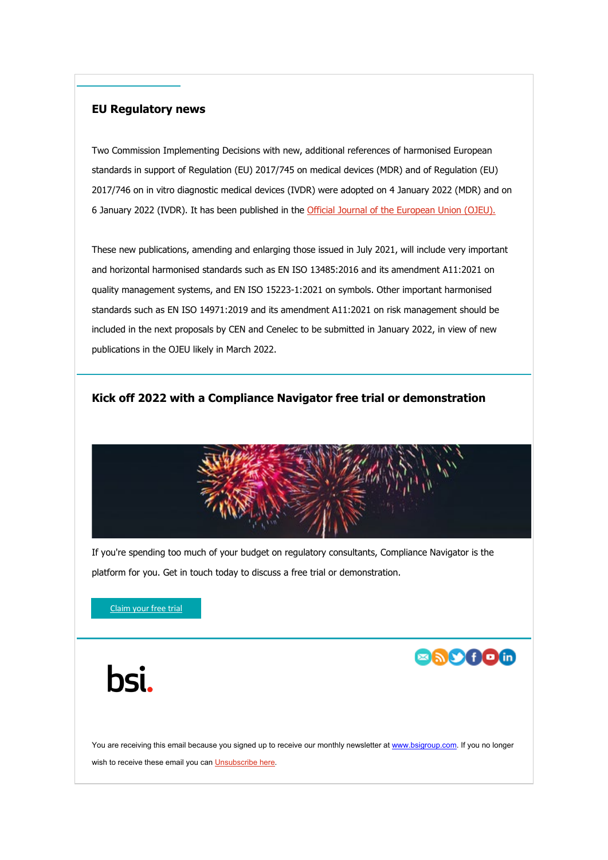#### **EU Regulatory news**

Two Commission Implementing Decisions with new, additional references of harmonised European standards in support of Regulation (EU) 2017/745 on medical devices (MDR) and of Regulation (EU) 2017/746 on in vitro diagnostic medical devices (IVDR) were adopted on 4 January 2022 (MDR) and on 6 January 2022 (IVDR). It has been published in the [Official Journal of the European Union \(OJEU\).](https://eur03.safelinks.protection.outlook.com/?url=https%3A%2F%2Feur-lex.europa.eu%2Flegal-content%2FEN%2FTXT%2FHTML%2F%3Furi%3DCELEX%3A32022D0006&data=04%7C01%7CBen.Smith%40bsigroup.com%7C265c26112e334dc3c80708d9d5e854b2%7C54946ffc68d34955ac70dca726d445b4%7C0%7C0%7C637776016142750835%7CUnknown%7CTWFpbGZsb3d8eyJWIjoiMC4wLjAwMDAiLCJQIjoiV2luMzIiLCJBTiI6Ik1haWwiLCJXVCI6Mn0%3D%7C3000&sdata=GC3sANDnM1JvXxB%2FP3x1hmK9yXZFfyN2OC1D%2F6WVvMk%3D&reserved=0)

These new publications, amending and enlarging those issued in July 2021, will include very important and horizontal harmonised standards such as EN ISO 13485:2016 and its amendment A11:2021 on quality management systems, and EN ISO 15223-1:2021 on symbols. Other important harmonised standards such as EN ISO 14971:2019 and its amendment A11:2021 on risk management should be included in the next proposals by CEN and Cenelec to be submitted in January 2022, in view of new publications in the OJEU likely in March 2022.

#### **Kick off 2022 with a Compliance Navigator free trial or demonstration**



If you're spending too much of your budget on regulatory consultants, Compliance Navigator is the platform for you. Get in touch today to discuss a free trial or demonstration.

[Claim your free trial](https://eur03.safelinks.protection.outlook.com/?url=https%3A%2F%2Fwww.bsigroup.com%2Fen-gb%2Fmedical-devices%2Four-services%2FCompliance-Navigator%2F2022%2Fnew-year%2F%3Futm_source%3Dpardot%26utm_medium%3Demail%26utm_term%3D%26utm_content%3Dfree-trial-cta%26utm_campaign%3DGL-RegSrv-NEWS-MD-success-of-2021-and%2520the-year-ahead-2201&data=04%7C01%7CBen.Smith%40bsigroup.com%7C265c26112e334dc3c80708d9d5e854b2%7C54946ffc68d34955ac70dca726d445b4%7C0%7C0%7C637776016142750835%7CUnknown%7CTWFpbGZsb3d8eyJWIjoiMC4wLjAwMDAiLCJQIjoiV2luMzIiLCJBTiI6Ik1haWwiLCJXVCI6Mn0%3D%7C3000&sdata=urNiOMrpJnq1AUhwjHwYMeRttKJTCBDu6XL%2FC5MvL8I%3D&reserved=0)

bsi.



You are receiving this email because you signed up to receive our monthly newsletter at [www.bsigroup.com.](https://eur03.safelinks.protection.outlook.com/?url=http%3A%2F%2Fwww.bsigroup.com%2F&data=04%7C01%7CBen.Smith%40bsigroup.com%7C265c26112e334dc3c80708d9d5e854b2%7C54946ffc68d34955ac70dca726d445b4%7C0%7C0%7C637776016142907060%7CUnknown%7CTWFpbGZsb3d8eyJWIjoiMC4wLjAwMDAiLCJQIjoiV2luMzIiLCJBTiI6Ik1haWwiLCJXVCI6Mn0%3D%7C3000&sdata=DWoB4aYoEKtoXFhr6pBVWnwQMW43NtDMzDILxqRKOew%3D&reserved=0) If you no longer wish to receive these email you ca[n Unsubscribe here.](https://eur03.safelinks.protection.outlook.com/?url=https%3A%2F%2Fpage.bsigroup.com%2FemailPreference%2Fe%2Fepc%2F73472%2F8ISeBUeA9MnaaEzobkjRGa78Nhdj7J6CcxK_iST3PbQ%2F1099&data=04%7C01%7CBen.Smith%40bsigroup.com%7C265c26112e334dc3c80708d9d5e854b2%7C54946ffc68d34955ac70dca726d445b4%7C0%7C0%7C637776016142907060%7CUnknown%7CTWFpbGZsb3d8eyJWIjoiMC4wLjAwMDAiLCJQIjoiV2luMzIiLCJBTiI6Ik1haWwiLCJXVCI6Mn0%3D%7C3000&sdata=xlGgmhmU7wmdSGjnb%2FAiw6upyj%2BDJ3lxYsWzQacQ78k%3D&reserved=0)